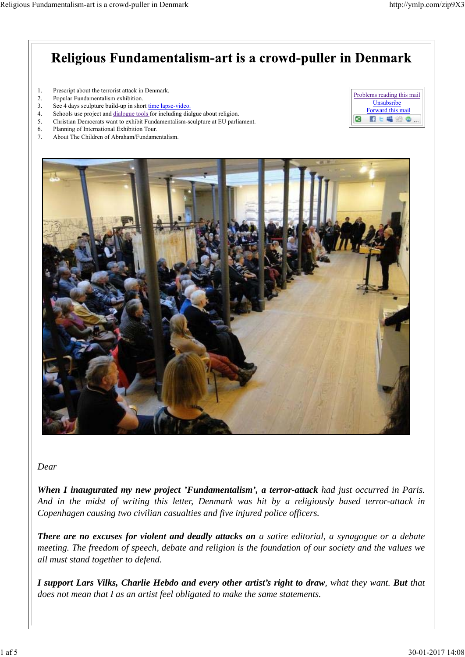

*Dear*

*When I inaugurated my new project 'Fundamentalism', a terror-attack had just occurred in Paris. And in the midst of writing this letter, Denmark was hit by a religiously based terror-attack in Copenhagen causing two civilian casualties and five injured police officers.*

*There are no excuses for violent and deadly attacks on a satire editorial, a synagogue or a debate meeting. The freedom of speech, debate and religion is the foundation of our society and the values we all must stand together to defend.*

*I support Lars Vilks, Charlie Hebdo and every other artist's right to draw, what they want. But that does not mean that I as an artist feel obligated to make the same statements.*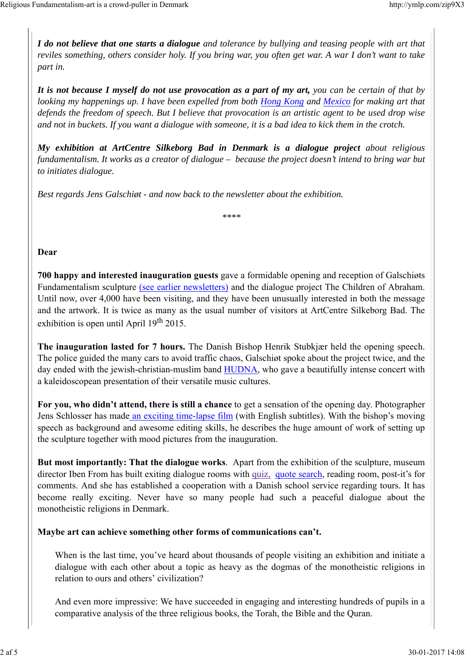*I do not believe that one starts a dialogue and tolerance by bullying and teasing people with art that reviles something, others consider holy. If you bring war, you often get war. A war I don't want to take part in.*

*It is not because I myself do not use provocation as a part of my art, you can be certain of that by looking my happenings up. I have been expelled from both Hong Kong and Mexico for making art that defends the freedom of speech. But I believe that provocation is an artistic agent to be used drop wise and not in buckets. If you want a dialogue with someone, it is a bad idea to kick them in the crotch.*

*My exhibition at ArtCentre Silkeborg Bad in Denmark is a dialogue project about religious fundamentalism. It works as a creator of dialogue – because the project doesn't intend to bring war but to initiates dialogue.*

*Best regards Jens Galschiøt - and now back to the newsletter about the exhibition.* 

*\*\*\*\**

#### **Dear**

**700 happy and interested inauguration guests** gave a formidable opening and reception of Galschiøts Fundamentalism sculpture (see earlier newsletters) and the dialogue project The Children of Abraham. Until now, over 4,000 have been visiting, and they have been unusually interested in both the message and the artwork. It is twice as many as the usual number of visitors at ArtCentre Silkeborg Bad. The exhibition is open until April  $19<sup>th</sup> 2015$ .

**The inauguration lasted for 7 hours.** The Danish Bishop Henrik Stubkjær held the opening speech. The police guided the many cars to avoid traffic chaos, Galschiøt spoke about the project twice, and the day ended with the jewish-christian-muslim band HUDNA, who gave a beautifully intense concert with a kaleidoscopean presentation of their versatile music cultures.

**For you, who didn't attend, there is still a chance** to get a sensation of the opening day. Photographer Jens Schlosser has made an exciting time-lapse film (with English subtitles). With the bishop's moving speech as background and awesome editing skills, he describes the huge amount of work of setting up the sculpture together with mood pictures from the inauguration.

**But most importantly: That the dialogue works**. Apart from the exhibition of the sculpture, museum director Iben From has built exiting dialogue rooms with quiz, quote search, reading room, post-it's for comments. And she has established a cooperation with a Danish school service regarding tours. It has become really exciting. Never have so many people had such a peaceful dialogue about the monotheistic religions in Denmark.

**Maybe art can achieve something other forms of communications can't.**

When is the last time, you've heard about thousands of people visiting an exhibition and initiate a dialogue with each other about a topic as heavy as the dogmas of the monotheistic religions in relation to ours and others' civilization?

And even more impressive: We have succeeded in engaging and interesting hundreds of pupils in a comparative analysis of the three religious books, the Torah, the Bible and the Quran.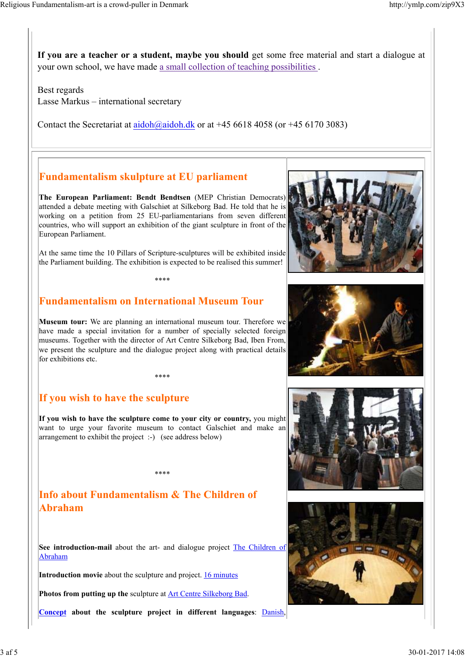**If you are a teacher or a student, maybe you should** get some free material and start a dialogue at your own school, we have made a small collection of teaching possibilities .

Best regards Lasse Markus – international secretary

Contact the Secretariat at aidoh@aidoh.dk or at  $+45,6618,4058$  (or  $+45,6170,3083$ )

## **Fundamentalism skulpture at EU parliament**

**The European Parliament: Bendt Bendtsen** (MEP Christian Democrats) attended a debate meeting with Galschiøt at Silkeborg Bad. He told that he is working on a petition from 25 EU-parliamentarians from seven different countries, who will support an exhibition of the giant sculpture in front of the European Parliament.

At the same time the 10 Pillars of Scripture-sculptures will be exhibited inside the Parliament building. The exhibition is expected to be realised this summer!

\*\*\*\*

## **Fundamentalism on International Museum Tour**

**Museum tour:** We are planning an international museum tour. Therefore we have made a special invitation for a number of specially selected foreign museums. Together with the director of Art Centre Silkeborg Bad, Iben From, we present the sculpture and the dialogue project along with practical details for exhibitions etc.

\*\*\*\*

#### **If you wish to have the sculpture**

**If you wish to have the sculpture come to your city or country,** you might want to urge your favorite museum to contact Galschiøt and make an arrangement to exhibit the project :-) (see address below)

\*\*\*\*

## **Info about Fundamentalism & The Children of Abraham**

**See introduction-mail** about the art- and dialogue project The Children of Abraham

Introduction movie about the sculpture and project. **16 minutes** 

**Photos from putting up the** sculpture at Art Centre Silkeborg Bad.

**Concept about the sculpture project in different languages**: Danish,







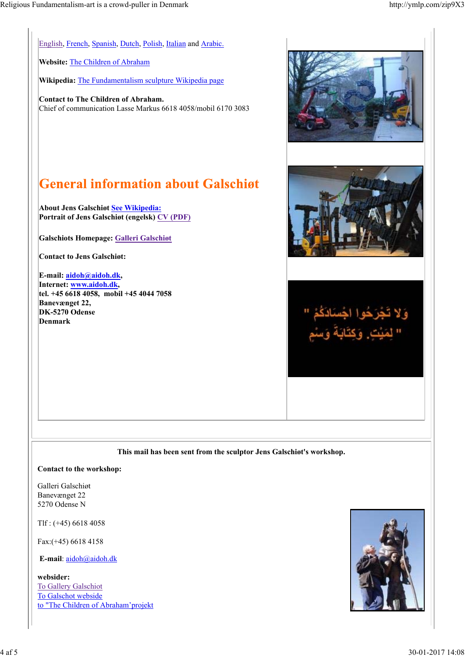English, French, Spanish, Dutch, Polish, Italian and Arabic.

**Website:** The Children of Abraham

**Wikipedia:** The Fundamentalism sculpture Wikipedia page

**Contact to The Children of Abraham.** Chief of communication Lasse Markus 6618 4058/mobil 6170 3083

# **General information about Galschigt**

**About Jens Galschiøt See Wikipedia: Portrait of Jens Galschiøt (engelsk) CV (PDF)**

**Galschiots Homepage: Galleri Galschiøt**

**Contact to Jens Galschiøt:**

**E-mail: aidoh@aidoh.dk, Internet: www.aidoh.dk, tel. +45 6618 4058, mobil +45 4044 7058 Banevænget 22, DK-5270 Odense Denmark**



**This mail has been sent from the sculptor Jens Galschiøt's workshop.**

#### **Contact to the workshop:**

Galleri Galschiøt Banevænget 22 5270 Odense N

Tlf : (+45) 6618 4058

Fax:(+45) 6618 4158

**E-mail**: aidoh@aidoh.dk

**websider:** To Gallery Galschiot To Galschot webside to "The Children of Abraham'projekt